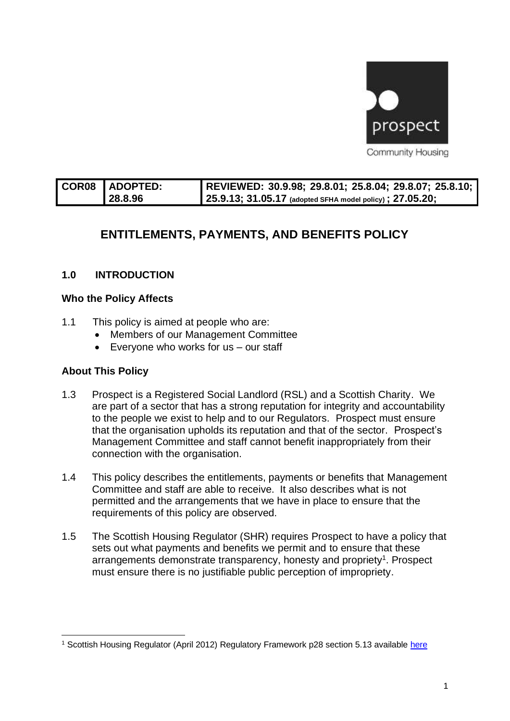

| COR08 ADOPTED: | REVIEWED: 30.9.98; 29.8.01; 25.8.04; 29.8.07; 25.8.10; ' |
|----------------|----------------------------------------------------------|
| 128.8.96       | 25.9.13; 31.05.17 (adopted SFHA model policy); 27.05.20; |

# **ENTITLEMENTS, PAYMENTS, AND BENEFITS POLICY**

# **1.0 INTRODUCTION**

### **Who the Policy Affects**

- 1.1 This policy is aimed at people who are:
	- Members of our Management Committee
	- Everyone who works for us our staff

### **About This Policy**

- 1.3 Prospect is a Registered Social Landlord (RSL) and a Scottish Charity. We are part of a sector that has a strong reputation for integrity and accountability to the people we exist to help and to our Regulators. Prospect must ensure that the organisation upholds its reputation and that of the sector. Prospect's Management Committee and staff cannot benefit inappropriately from their connection with the organisation.
- 1.4 This policy describes the entitlements, payments or benefits that Management Committee and staff are able to receive. It also describes what is not permitted and the arrangements that we have in place to ensure that the requirements of this policy are observed.
- 1.5 The Scottish Housing Regulator (SHR) requires Prospect to have a policy that sets out what payments and benefits we permit and to ensure that these arrangements demonstrate transparency, honesty and propriety<sup>1</sup>. Prospect must ensure there is no justifiable public perception of impropriety.

<sup>1</sup> Scottish Housing Regulator (April 2012) Regulatory Framework p28 section 5.13 available [here](http://www.scottishhousingregulator.gov.uk/sites/default/files/publications/Our%20Regulatory%20Framework.pdf)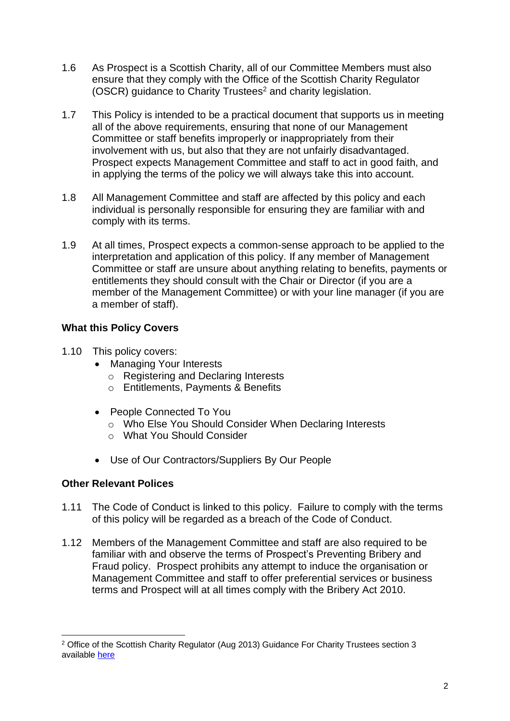- 1.6 As Prospect is a Scottish Charity, all of our Committee Members must also ensure that they comply with the Office of the Scottish Charity Regulator (OSCR) guidance to Charity Trustees<sup>2</sup> and charity legislation.
- 1.7 This Policy is intended to be a practical document that supports us in meeting all of the above requirements, ensuring that none of our Management Committee or staff benefits improperly or inappropriately from their involvement with us, but also that they are not unfairly disadvantaged. Prospect expects Management Committee and staff to act in good faith, and in applying the terms of the policy we will always take this into account.
- 1.8 All Management Committee and staff are affected by this policy and each individual is personally responsible for ensuring they are familiar with and comply with its terms.
- 1.9 At all times, Prospect expects a common-sense approach to be applied to the interpretation and application of this policy. If any member of Management Committee or staff are unsure about anything relating to benefits, payments or entitlements they should consult with the Chair or Director (if you are a member of the Management Committee) or with your line manager (if you are a member of staff).

# **What this Policy Covers**

- 1.10 This policy covers:
	- Managing Your Interests
		- o Registering and Declaring Interests
		- o Entitlements, Payments & Benefits
	- People Connected To You
		- o Who Else You Should Consider When Declaring Interests
		- o What You Should Consider
	- Use of Our Contractors/Suppliers By Our People

# **Other Relevant Polices**

- 1.11 The Code of Conduct is linked to this policy. Failure to comply with the terms of this policy will be regarded as a breach of the Code of Conduct.
- 1.12 Members of the Management Committee and staff are also required to be familiar with and observe the terms of Prospect's Preventing Bribery and Fraud policy. Prospect prohibits any attempt to induce the organisation or Management Committee and staff to offer preferential services or business terms and Prospect will at all times comply with the Bribery Act 2010.

<sup>&</sup>lt;sup>2</sup> Office of the Scottish Charity Regulator (Aug 2013) Guidance For Charity Trustees section 3 available [here](http://www.oscr.org.uk/media/1571/Guidance%20for%20Charity%20Trustees%20updated%20Sept%202010.pdf)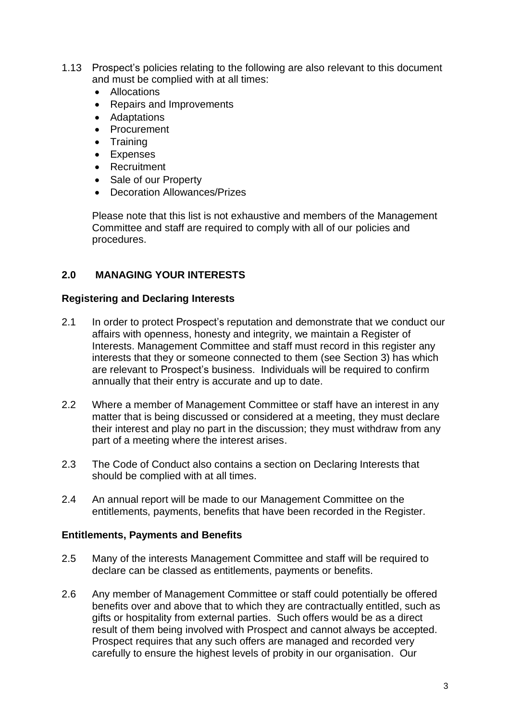- 1.13 Prospect's policies relating to the following are also relevant to this document and must be complied with at all times:
	- Allocations
	- Repairs and Improvements
	- Adaptations
	- Procurement
	- Training
	- Expenses
	- Recruitment
	- Sale of our Property
	- Decoration Allowances/Prizes

Please note that this list is not exhaustive and members of the Management Committee and staff are required to comply with all of our policies and procedures.

# **2.0 MANAGING YOUR INTERESTS**

### **Registering and Declaring Interests**

- 2.1 In order to protect Prospect's reputation and demonstrate that we conduct our affairs with openness, honesty and integrity, we maintain a Register of Interests. Management Committee and staff must record in this register any interests that they or someone connected to them (see Section 3) has which are relevant to Prospect's business. Individuals will be required to confirm annually that their entry is accurate and up to date.
- 2.2 Where a member of Management Committee or staff have an interest in any matter that is being discussed or considered at a meeting, they must declare their interest and play no part in the discussion; they must withdraw from any part of a meeting where the interest arises.
- 2.3 The Code of Conduct also contains a section on Declaring Interests that should be complied with at all times.
- 2.4 An annual report will be made to our Management Committee on the entitlements, payments, benefits that have been recorded in the Register.

### **Entitlements, Payments and Benefits**

- 2.5 Many of the interests Management Committee and staff will be required to declare can be classed as entitlements, payments or benefits.
- 2.6 Any member of Management Committee or staff could potentially be offered benefits over and above that to which they are contractually entitled, such as gifts or hospitality from external parties. Such offers would be as a direct result of them being involved with Prospect and cannot always be accepted. Prospect requires that any such offers are managed and recorded very carefully to ensure the highest levels of probity in our organisation. Our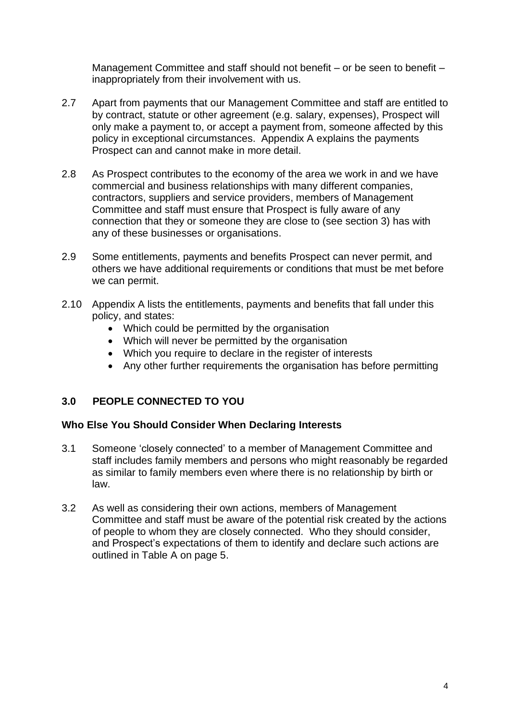Management Committee and staff should not benefit – or be seen to benefit – inappropriately from their involvement with us.

- 2.7 Apart from payments that our Management Committee and staff are entitled to by contract, statute or other agreement (e.g. salary, expenses), Prospect will only make a payment to, or accept a payment from, someone affected by this policy in exceptional circumstances. Appendix A explains the payments Prospect can and cannot make in more detail.
- 2.8 As Prospect contributes to the economy of the area we work in and we have commercial and business relationships with many different companies, contractors, suppliers and service providers, members of Management Committee and staff must ensure that Prospect is fully aware of any connection that they or someone they are close to (see section 3) has with any of these businesses or organisations.
- 2.9 Some entitlements, payments and benefits Prospect can never permit, and others we have additional requirements or conditions that must be met before we can permit.
- 2.10 Appendix A lists the entitlements, payments and benefits that fall under this policy, and states:
	- Which could be permitted by the organisation
	- Which will never be permitted by the organisation
	- Which you require to declare in the register of interests
	- Any other further requirements the organisation has before permitting

# **3.0 PEOPLE CONNECTED TO YOU**

### **Who Else You Should Consider When Declaring Interests**

- 3.1 Someone 'closely connected' to a member of Management Committee and staff includes family members and persons who might reasonably be regarded as similar to family members even where there is no relationship by birth or law.
- 3.2 As well as considering their own actions, members of Management Committee and staff must be aware of the potential risk created by the actions of people to whom they are closely connected. Who they should consider, and Prospect's expectations of them to identify and declare such actions are outlined in Table A on page 5.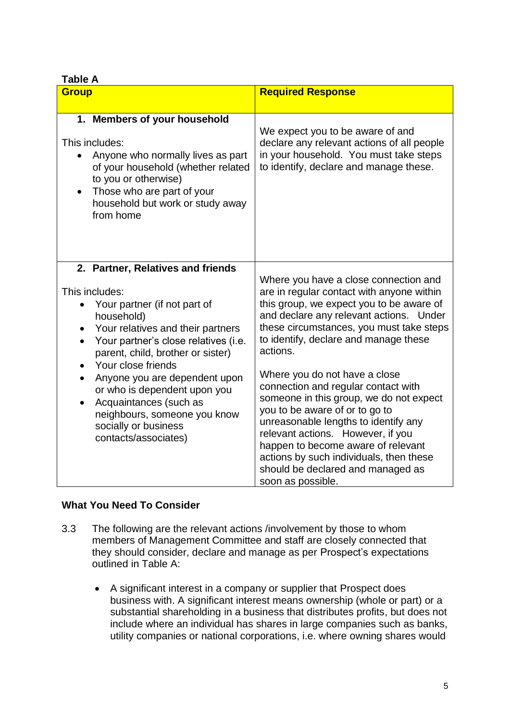### **Table A**

| anic A<br><b>Group</b>                                                                                                                                                                                                                                                                                                                                                                                                            | <b>Required Response</b>                                                                                                                                                                                                                                                                                                                                                                                                                                                                                                                                                                                                                                |
|-----------------------------------------------------------------------------------------------------------------------------------------------------------------------------------------------------------------------------------------------------------------------------------------------------------------------------------------------------------------------------------------------------------------------------------|---------------------------------------------------------------------------------------------------------------------------------------------------------------------------------------------------------------------------------------------------------------------------------------------------------------------------------------------------------------------------------------------------------------------------------------------------------------------------------------------------------------------------------------------------------------------------------------------------------------------------------------------------------|
| 1. Members of your household<br>This includes:<br>Anyone who normally lives as part<br>$\bullet$<br>of your household (whether related<br>to you or otherwise)<br>Those who are part of your<br>household but work or study away<br>from home                                                                                                                                                                                     | We expect you to be aware of and<br>declare any relevant actions of all people<br>in your household. You must take steps<br>to identify, declare and manage these.                                                                                                                                                                                                                                                                                                                                                                                                                                                                                      |
| 2. Partner, Relatives and friends<br>This includes:<br>Your partner (if not part of<br>household)<br>Your relatives and their partners<br>Your partner's close relatives (i.e.<br>$\bullet$<br>parent, child, brother or sister)<br>Your close friends<br>Anyone you are dependent upon<br>or who is dependent upon you<br>Acquaintances (such as<br>neighbours, someone you know<br>socially or business<br>contacts/associates) | Where you have a close connection and<br>are in regular contact with anyone within<br>this group, we expect you to be aware of<br>and declare any relevant actions. Under<br>these circumstances, you must take steps<br>to identify, declare and manage these<br>actions.<br>Where you do not have a close<br>connection and regular contact with<br>someone in this group, we do not expect<br>you to be aware of or to go to<br>unreasonable lengths to identify any<br>relevant actions. However, if you<br>happen to become aware of relevant<br>actions by such individuals, then these<br>should be declared and managed as<br>soon as possible. |

# **What You Need To Consider**

- 3.3 The following are the relevant actions /involvement by those to whom members of Management Committee and staff are closely connected that they should consider, declare and manage as per Prospect's expectations outlined in Table A:
	- A significant interest in a company or supplier that Prospect does business with. A significant interest means ownership (whole or part) or a substantial shareholding in a business that distributes profits, but does not include where an individual has shares in large companies such as banks, utility companies or national corporations, i.e. where owning shares would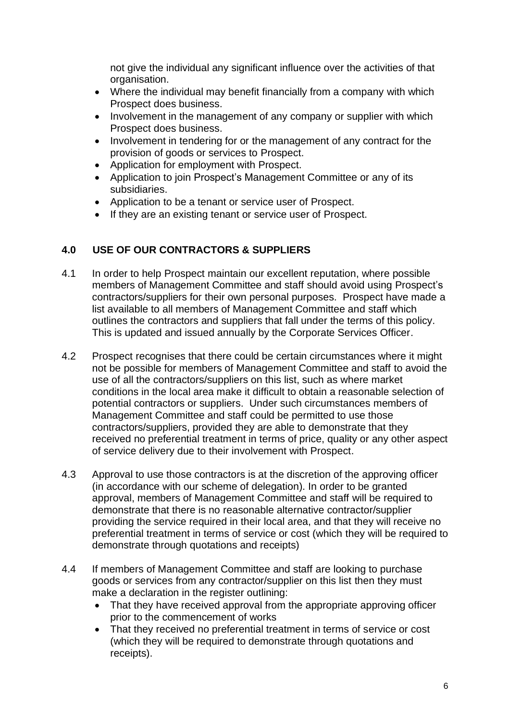not give the individual any significant influence over the activities of that organisation.

- Where the individual may benefit financially from a company with which Prospect does business.
- Involvement in the management of any company or supplier with which Prospect does business.
- Involvement in tendering for or the management of any contract for the provision of goods or services to Prospect.
- Application for employment with Prospect.
- Application to join Prospect's Management Committee or any of its subsidiaries.
- Application to be a tenant or service user of Prospect.
- If they are an existing tenant or service user of Prospect.

# **4.0 USE OF OUR CONTRACTORS & SUPPLIERS**

- 4.1 In order to help Prospect maintain our excellent reputation, where possible members of Management Committee and staff should avoid using Prospect's contractors/suppliers for their own personal purposes. Prospect have made a list available to all members of Management Committee and staff which outlines the contractors and suppliers that fall under the terms of this policy. This is updated and issued annually by the Corporate Services Officer.
- 4.2 Prospect recognises that there could be certain circumstances where it might not be possible for members of Management Committee and staff to avoid the use of all the contractors/suppliers on this list, such as where market conditions in the local area make it difficult to obtain a reasonable selection of potential contractors or suppliers. Under such circumstances members of Management Committee and staff could be permitted to use those contractors/suppliers, provided they are able to demonstrate that they received no preferential treatment in terms of price, quality or any other aspect of service delivery due to their involvement with Prospect.
- 4.3 Approval to use those contractors is at the discretion of the approving officer (in accordance with our scheme of delegation). In order to be granted approval, members of Management Committee and staff will be required to demonstrate that there is no reasonable alternative contractor/supplier providing the service required in their local area, and that they will receive no preferential treatment in terms of service or cost (which they will be required to demonstrate through quotations and receipts)
- 4.4 If members of Management Committee and staff are looking to purchase goods or services from any contractor/supplier on this list then they must make a declaration in the register outlining:
	- That they have received approval from the appropriate approving officer prior to the commencement of works
	- That they received no preferential treatment in terms of service or cost (which they will be required to demonstrate through quotations and receipts).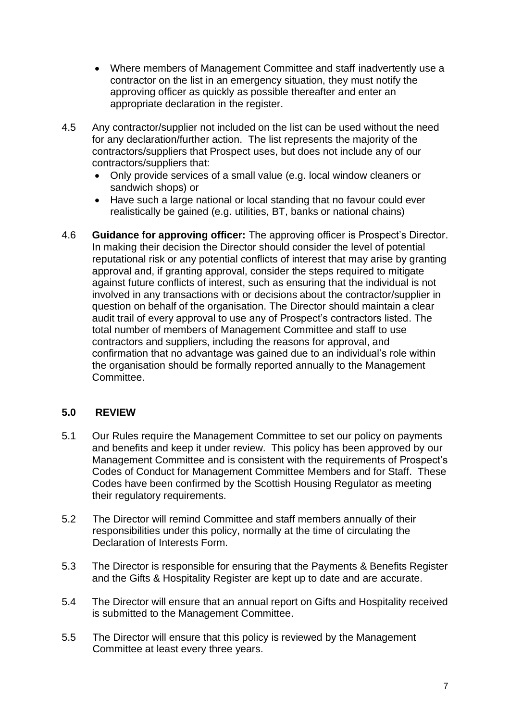- Where members of Management Committee and staff inadvertently use a contractor on the list in an emergency situation, they must notify the approving officer as quickly as possible thereafter and enter an appropriate declaration in the register.
- 4.5 Any contractor/supplier not included on the list can be used without the need for any declaration/further action. The list represents the majority of the contractors/suppliers that Prospect uses, but does not include any of our contractors/suppliers that:
	- Only provide services of a small value (e.g. local window cleaners or sandwich shops) or
	- Have such a large national or local standing that no favour could ever realistically be gained (e.g. utilities, BT, banks or national chains)
- 4.6 **Guidance for approving officer:** The approving officer is Prospect's Director. In making their decision the Director should consider the level of potential reputational risk or any potential conflicts of interest that may arise by granting approval and, if granting approval, consider the steps required to mitigate against future conflicts of interest, such as ensuring that the individual is not involved in any transactions with or decisions about the contractor/supplier in question on behalf of the organisation. The Director should maintain a clear audit trail of every approval to use any of Prospect's contractors listed. The total number of members of Management Committee and staff to use contractors and suppliers, including the reasons for approval, and confirmation that no advantage was gained due to an individual's role within the organisation should be formally reported annually to the Management Committee.

# **5.0 REVIEW**

- 5.1 Our Rules require the Management Committee to set our policy on payments and benefits and keep it under review. This policy has been approved by our Management Committee and is consistent with the requirements of Prospect's Codes of Conduct for Management Committee Members and for Staff. These Codes have been confirmed by the Scottish Housing Regulator as meeting their regulatory requirements.
- 5.2 The Director will remind Committee and staff members annually of their responsibilities under this policy, normally at the time of circulating the Declaration of Interests Form.
- 5.3 The Director is responsible for ensuring that the Payments & Benefits Register and the Gifts & Hospitality Register are kept up to date and are accurate.
- 5.4 The Director will ensure that an annual report on Gifts and Hospitality received is submitted to the Management Committee.
- 5.5 The Director will ensure that this policy is reviewed by the Management Committee at least every three years.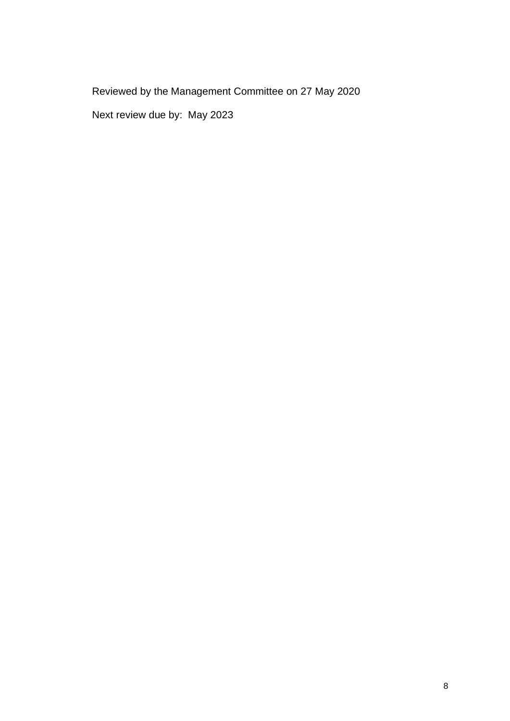Reviewed by the Management Committee on 27 May 2020

Next review due by: May 2023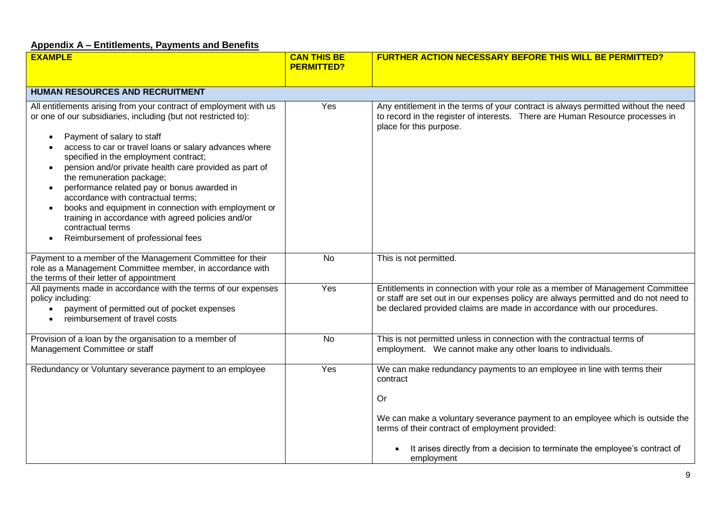# **Appendix A – Entitlements, Payments and Benefits**

| <b>EXAMPLE</b>                                                                                                                                                                                                                                                                                                                                                                                                                                                                                                                                                                                                                                                                | <b>CAN THIS BE</b><br><b>PERMITTED?</b> | <b>FURTHER ACTION NECESSARY BEFORE THIS WILL BE PERMITTED?</b>                                                                                                                                                                                                                                                            |
|-------------------------------------------------------------------------------------------------------------------------------------------------------------------------------------------------------------------------------------------------------------------------------------------------------------------------------------------------------------------------------------------------------------------------------------------------------------------------------------------------------------------------------------------------------------------------------------------------------------------------------------------------------------------------------|-----------------------------------------|---------------------------------------------------------------------------------------------------------------------------------------------------------------------------------------------------------------------------------------------------------------------------------------------------------------------------|
| HUMAN RESOURCES AND RECRUITMENT                                                                                                                                                                                                                                                                                                                                                                                                                                                                                                                                                                                                                                               |                                         |                                                                                                                                                                                                                                                                                                                           |
| All entitlements arising from your contract of employment with us<br>or one of our subsidiaries, including (but not restricted to):<br>Payment of salary to staff<br>access to car or travel loans or salary advances where<br>specified in the employment contract;<br>pension and/or private health care provided as part of<br>$\bullet$<br>the remuneration package;<br>performance related pay or bonus awarded in<br>$\bullet$<br>accordance with contractual terms;<br>books and equipment in connection with employment or<br>$\bullet$<br>training in accordance with agreed policies and/or<br>contractual terms<br>Reimbursement of professional fees<br>$\bullet$ | Yes                                     | Any entitlement in the terms of your contract is always permitted without the need<br>to record in the register of interests. There are Human Resource processes in<br>place for this purpose.                                                                                                                            |
| Payment to a member of the Management Committee for their<br>role as a Management Committee member, in accordance with<br>the terms of their letter of appointment                                                                                                                                                                                                                                                                                                                                                                                                                                                                                                            | <b>No</b>                               | This is not permitted.                                                                                                                                                                                                                                                                                                    |
| All payments made in accordance with the terms of our expenses<br>policy including:<br>payment of permitted out of pocket expenses<br>reimbursement of travel costs                                                                                                                                                                                                                                                                                                                                                                                                                                                                                                           | Yes                                     | Entitlements in connection with your role as a member of Management Committee<br>or staff are set out in our expenses policy are always permitted and do not need to<br>be declared provided claims are made in accordance with our procedures.                                                                           |
| Provision of a loan by the organisation to a member of<br>Management Committee or staff                                                                                                                                                                                                                                                                                                                                                                                                                                                                                                                                                                                       | <b>No</b>                               | This is not permitted unless in connection with the contractual terms of<br>employment. We cannot make any other loans to individuals.                                                                                                                                                                                    |
| Redundancy or Voluntary severance payment to an employee                                                                                                                                                                                                                                                                                                                                                                                                                                                                                                                                                                                                                      | Yes                                     | We can make redundancy payments to an employee in line with terms their<br>contract<br>Or<br>We can make a voluntary severance payment to an employee which is outside the<br>terms of their contract of employment provided:<br>It arises directly from a decision to terminate the employee's contract of<br>employment |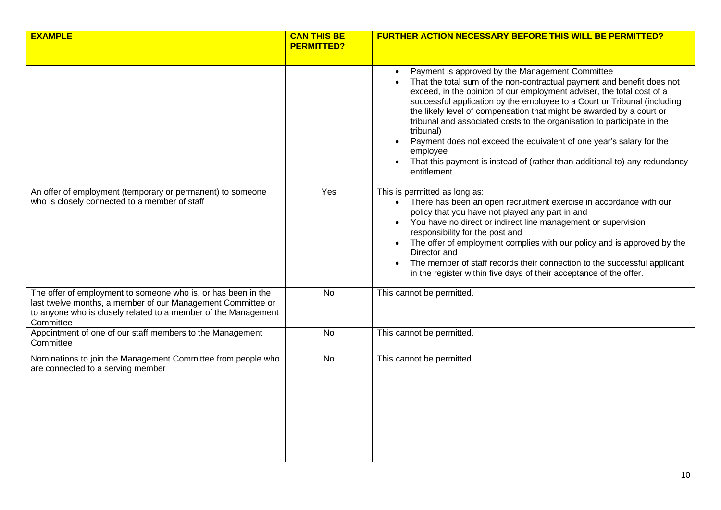| <b>EXAMPLE</b>                                                                                                                                                                                              | <b>CAN THIS BE</b><br><b>PERMITTED?</b> | <b>FURTHER ACTION NECESSARY BEFORE THIS WILL BE PERMITTED?</b>                                                                                                                                                                                                                                                                                                                                                                                                                                                                                                                                                                 |
|-------------------------------------------------------------------------------------------------------------------------------------------------------------------------------------------------------------|-----------------------------------------|--------------------------------------------------------------------------------------------------------------------------------------------------------------------------------------------------------------------------------------------------------------------------------------------------------------------------------------------------------------------------------------------------------------------------------------------------------------------------------------------------------------------------------------------------------------------------------------------------------------------------------|
|                                                                                                                                                                                                             |                                         | Payment is approved by the Management Committee<br>That the total sum of the non-contractual payment and benefit does not<br>exceed, in the opinion of our employment adviser, the total cost of a<br>successful application by the employee to a Court or Tribunal (including<br>the likely level of compensation that might be awarded by a court or<br>tribunal and associated costs to the organisation to participate in the<br>tribunal)<br>Payment does not exceed the equivalent of one year's salary for the<br>employee<br>That this payment is instead of (rather than additional to) any redundancy<br>entitlement |
| An offer of employment (temporary or permanent) to someone<br>who is closely connected to a member of staff                                                                                                 | Yes                                     | This is permitted as long as:<br>• There has been an open recruitment exercise in accordance with our<br>policy that you have not played any part in and<br>You have no direct or indirect line management or supervision<br>responsibility for the post and<br>The offer of employment complies with our policy and is approved by the<br>Director and<br>The member of staff records their connection to the successful applicant<br>in the register within five days of their acceptance of the offer.                                                                                                                      |
| The offer of employment to someone who is, or has been in the<br>last twelve months, a member of our Management Committee or<br>to anyone who is closely related to a member of the Management<br>Committee | <b>No</b>                               | This cannot be permitted.                                                                                                                                                                                                                                                                                                                                                                                                                                                                                                                                                                                                      |
| Appointment of one of our staff members to the Management<br>Committee                                                                                                                                      | <b>No</b>                               | This cannot be permitted.                                                                                                                                                                                                                                                                                                                                                                                                                                                                                                                                                                                                      |
| Nominations to join the Management Committee from people who<br>are connected to a serving member                                                                                                           | <b>No</b>                               | This cannot be permitted.                                                                                                                                                                                                                                                                                                                                                                                                                                                                                                                                                                                                      |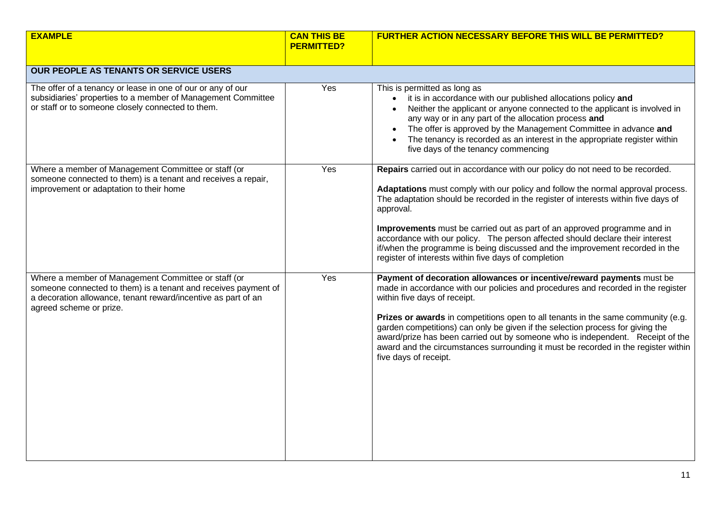| <b>EXAMPLE</b>                                                                                                                                                                                                    | <b>CAN THIS BE</b><br><b>PERMITTED?</b> | <b>FURTHER ACTION NECESSARY BEFORE THIS WILL BE PERMITTED?</b>                                                                                                                                                                                                                                                                                                                                                                                                                                                                                                           |
|-------------------------------------------------------------------------------------------------------------------------------------------------------------------------------------------------------------------|-----------------------------------------|--------------------------------------------------------------------------------------------------------------------------------------------------------------------------------------------------------------------------------------------------------------------------------------------------------------------------------------------------------------------------------------------------------------------------------------------------------------------------------------------------------------------------------------------------------------------------|
| <b>OUR PEOPLE AS TENANTS OR SERVICE USERS</b>                                                                                                                                                                     |                                         |                                                                                                                                                                                                                                                                                                                                                                                                                                                                                                                                                                          |
| The offer of a tenancy or lease in one of our or any of our<br>subsidiaries' properties to a member of Management Committee<br>or staff or to someone closely connected to them.                                  | Yes                                     | This is permitted as long as<br>it is in accordance with our published allocations policy and<br>$\bullet$<br>Neither the applicant or anyone connected to the applicant is involved in<br>any way or in any part of the allocation process and<br>The offer is approved by the Management Committee in advance and<br>The tenancy is recorded as an interest in the appropriate register within<br>five days of the tenancy commencing                                                                                                                                  |
| Where a member of Management Committee or staff (or<br>someone connected to them) is a tenant and receives a repair,<br>improvement or adaptation to their home                                                   | Yes                                     | Repairs carried out in accordance with our policy do not need to be recorded.<br>Adaptations must comply with our policy and follow the normal approval process.<br>The adaptation should be recorded in the register of interests within five days of<br>approval.<br>Improvements must be carried out as part of an approved programme and in<br>accordance with our policy. The person affected should declare their interest<br>if/when the programme is being discussed and the improvement recorded in the<br>register of interests within five days of completion |
| Where a member of Management Committee or staff (or<br>someone connected to them) is a tenant and receives payment of<br>a decoration allowance, tenant reward/incentive as part of an<br>agreed scheme or prize. | Yes                                     | Payment of decoration allowances or incentive/reward payments must be<br>made in accordance with our policies and procedures and recorded in the register<br>within five days of receipt.<br>Prizes or awards in competitions open to all tenants in the same community (e.g.<br>garden competitions) can only be given if the selection process for giving the<br>award/prize has been carried out by someone who is independent. Receipt of the<br>award and the circumstances surrounding it must be recorded in the register within<br>five days of receipt.         |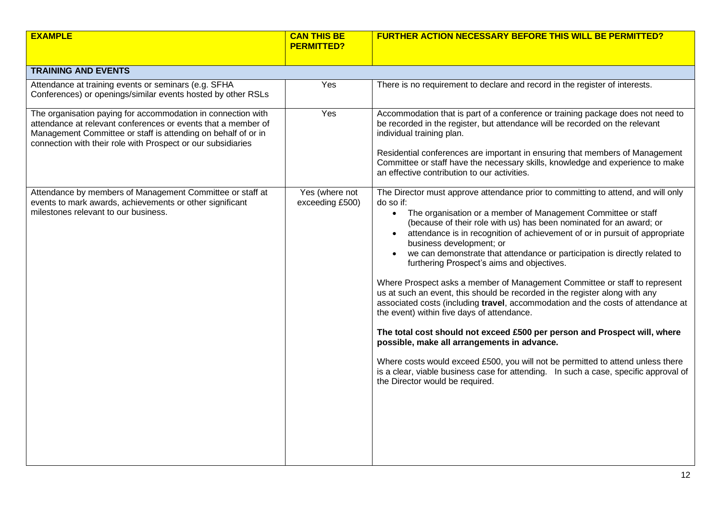| <b>EXAMPLE</b>                                                                                                                                                                                                                                                 | <b>CAN THIS BE</b><br><b>PERMITTED?</b> | <b>FURTHER ACTION NECESSARY BEFORE THIS WILL BE PERMITTED?</b>                                                                                                                                                                                                                                                                                                                                                                                                                                                                                                                                                                                                                                                                                                                                                                                                                                                                                                                                                                                                                                                                      |
|----------------------------------------------------------------------------------------------------------------------------------------------------------------------------------------------------------------------------------------------------------------|-----------------------------------------|-------------------------------------------------------------------------------------------------------------------------------------------------------------------------------------------------------------------------------------------------------------------------------------------------------------------------------------------------------------------------------------------------------------------------------------------------------------------------------------------------------------------------------------------------------------------------------------------------------------------------------------------------------------------------------------------------------------------------------------------------------------------------------------------------------------------------------------------------------------------------------------------------------------------------------------------------------------------------------------------------------------------------------------------------------------------------------------------------------------------------------------|
| <b>TRAINING AND EVENTS</b>                                                                                                                                                                                                                                     |                                         |                                                                                                                                                                                                                                                                                                                                                                                                                                                                                                                                                                                                                                                                                                                                                                                                                                                                                                                                                                                                                                                                                                                                     |
| Attendance at training events or seminars (e.g. SFHA<br>Conferences) or openings/similar events hosted by other RSLs                                                                                                                                           | Yes                                     | There is no requirement to declare and record in the register of interests.                                                                                                                                                                                                                                                                                                                                                                                                                                                                                                                                                                                                                                                                                                                                                                                                                                                                                                                                                                                                                                                         |
| The organisation paying for accommodation in connection with<br>attendance at relevant conferences or events that a member of<br>Management Committee or staff is attending on behalf of or in<br>connection with their role with Prospect or our subsidiaries | Yes                                     | Accommodation that is part of a conference or training package does not need to<br>be recorded in the register, but attendance will be recorded on the relevant<br>individual training plan.<br>Residential conferences are important in ensuring that members of Management<br>Committee or staff have the necessary skills, knowledge and experience to make<br>an effective contribution to our activities.                                                                                                                                                                                                                                                                                                                                                                                                                                                                                                                                                                                                                                                                                                                      |
| Attendance by members of Management Committee or staff at<br>events to mark awards, achievements or other significant<br>milestones relevant to our business.                                                                                                  | Yes (where not<br>exceeding £500)       | The Director must approve attendance prior to committing to attend, and will only<br>do so if:<br>The organisation or a member of Management Committee or staff<br>$\bullet$<br>(because of their role with us) has been nominated for an award; or<br>attendance is in recognition of achievement of or in pursuit of appropriate<br>business development; or<br>we can demonstrate that attendance or participation is directly related to<br>furthering Prospect's aims and objectives.<br>Where Prospect asks a member of Management Committee or staff to represent<br>us at such an event, this should be recorded in the register along with any<br>associated costs (including travel, accommodation and the costs of attendance at<br>the event) within five days of attendance.<br>The total cost should not exceed £500 per person and Prospect will, where<br>possible, make all arrangements in advance.<br>Where costs would exceed £500, you will not be permitted to attend unless there<br>is a clear, viable business case for attending. In such a case, specific approval of<br>the Director would be required. |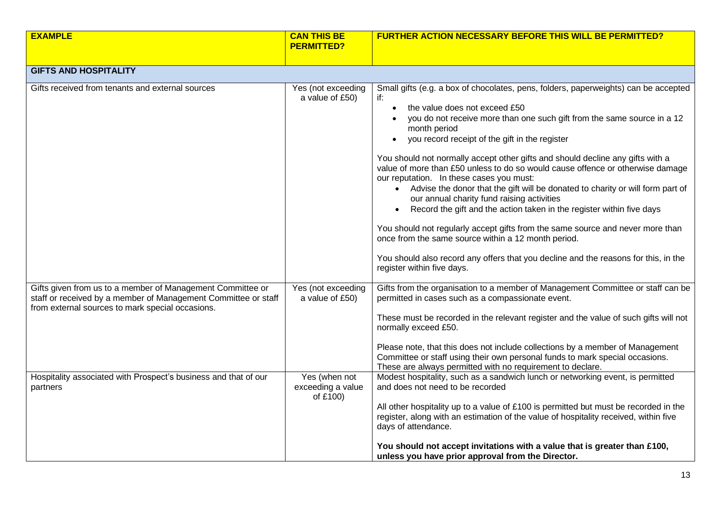| <b>EXAMPLE</b>                                                                                                                                                                   | <b>CAN THIS BE</b><br><b>PERMITTED?</b>        | <b>FURTHER ACTION NECESSARY BEFORE THIS WILL BE PERMITTED?</b>                                                                                                                                                                                                                                                                                                                                                                                                                                                                                                                                                                                                                                                                                                                                                                                                                                                                                                                              |
|----------------------------------------------------------------------------------------------------------------------------------------------------------------------------------|------------------------------------------------|---------------------------------------------------------------------------------------------------------------------------------------------------------------------------------------------------------------------------------------------------------------------------------------------------------------------------------------------------------------------------------------------------------------------------------------------------------------------------------------------------------------------------------------------------------------------------------------------------------------------------------------------------------------------------------------------------------------------------------------------------------------------------------------------------------------------------------------------------------------------------------------------------------------------------------------------------------------------------------------------|
|                                                                                                                                                                                  |                                                |                                                                                                                                                                                                                                                                                                                                                                                                                                                                                                                                                                                                                                                                                                                                                                                                                                                                                                                                                                                             |
| <b>GIFTS AND HOSPITALITY</b>                                                                                                                                                     |                                                |                                                                                                                                                                                                                                                                                                                                                                                                                                                                                                                                                                                                                                                                                                                                                                                                                                                                                                                                                                                             |
| Gifts received from tenants and external sources                                                                                                                                 | Yes (not exceeding<br>a value of £50)          | Small gifts (e.g. a box of chocolates, pens, folders, paperweights) can be accepted<br>if:<br>the value does not exceed £50<br>$\bullet$<br>you do not receive more than one such gift from the same source in a 12<br>month period<br>you record receipt of the gift in the register<br>You should not normally accept other gifts and should decline any gifts with a<br>value of more than £50 unless to do so would cause offence or otherwise damage<br>our reputation. In these cases you must:<br>• Advise the donor that the gift will be donated to charity or will form part of<br>our annual charity fund raising activities<br>Record the gift and the action taken in the register within five days<br>$\bullet$<br>You should not regularly accept gifts from the same source and never more than<br>once from the same source within a 12 month period.<br>You should also record any offers that you decline and the reasons for this, in the<br>register within five days. |
| Gifts given from us to a member of Management Committee or<br>staff or received by a member of Management Committee or staff<br>from external sources to mark special occasions. | Yes (not exceeding<br>a value of £50)          | Gifts from the organisation to a member of Management Committee or staff can be<br>permitted in cases such as a compassionate event.<br>These must be recorded in the relevant register and the value of such gifts will not<br>normally exceed £50.<br>Please note, that this does not include collections by a member of Management<br>Committee or staff using their own personal funds to mark special occasions.<br>These are always permitted with no requirement to declare.                                                                                                                                                                                                                                                                                                                                                                                                                                                                                                         |
| Hospitality associated with Prospect's business and that of our<br>partners                                                                                                      | Yes (when not<br>exceeding a value<br>of £100) | Modest hospitality, such as a sandwich lunch or networking event, is permitted<br>and does not need to be recorded<br>All other hospitality up to a value of £100 is permitted but must be recorded in the<br>register, along with an estimation of the value of hospitality received, within five<br>days of attendance.<br>You should not accept invitations with a value that is greater than £100,<br>unless you have prior approval from the Director.                                                                                                                                                                                                                                                                                                                                                                                                                                                                                                                                 |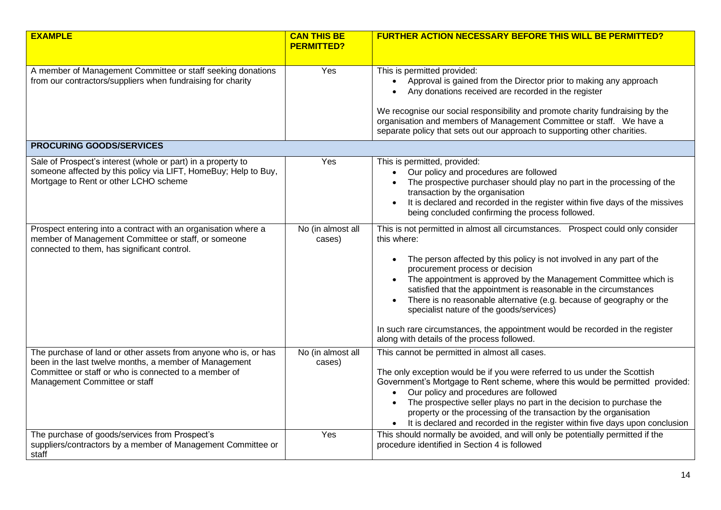| <b>EXAMPLE</b>                                                                                                                                                                                                      | <b>CAN THIS BE</b><br><b>PERMITTED?</b> | <b>FURTHER ACTION NECESSARY BEFORE THIS WILL BE PERMITTED?</b>                                                                                                                                                                                                                                                                                                                                                                                                                                                                                                                                            |
|---------------------------------------------------------------------------------------------------------------------------------------------------------------------------------------------------------------------|-----------------------------------------|-----------------------------------------------------------------------------------------------------------------------------------------------------------------------------------------------------------------------------------------------------------------------------------------------------------------------------------------------------------------------------------------------------------------------------------------------------------------------------------------------------------------------------------------------------------------------------------------------------------|
|                                                                                                                                                                                                                     |                                         |                                                                                                                                                                                                                                                                                                                                                                                                                                                                                                                                                                                                           |
| A member of Management Committee or staff seeking donations<br>from our contractors/suppliers when fundraising for charity                                                                                          | Yes                                     | This is permitted provided:<br>Approval is gained from the Director prior to making any approach<br>Any donations received are recorded in the register                                                                                                                                                                                                                                                                                                                                                                                                                                                   |
|                                                                                                                                                                                                                     |                                         | We recognise our social responsibility and promote charity fundraising by the<br>organisation and members of Management Committee or staff. We have a<br>separate policy that sets out our approach to supporting other charities.                                                                                                                                                                                                                                                                                                                                                                        |
| <b>PROCURING GOODS/SERVICES</b>                                                                                                                                                                                     |                                         |                                                                                                                                                                                                                                                                                                                                                                                                                                                                                                                                                                                                           |
| Sale of Prospect's interest (whole or part) in a property to<br>someone affected by this policy via LIFT, HomeBuy; Help to Buy,<br>Mortgage to Rent or other LCHO scheme                                            | Yes                                     | This is permitted, provided:<br>Our policy and procedures are followed<br>The prospective purchaser should play no part in the processing of the<br>transaction by the organisation<br>It is declared and recorded in the register within five days of the missives<br>being concluded confirming the process followed.                                                                                                                                                                                                                                                                                   |
| Prospect entering into a contract with an organisation where a<br>member of Management Committee or staff, or someone<br>connected to them, has significant control.                                                | No (in almost all<br>cases)             | This is not permitted in almost all circumstances. Prospect could only consider<br>this where:<br>The person affected by this policy is not involved in any part of the<br>procurement process or decision<br>• The appointment is approved by the Management Committee which is<br>satisfied that the appointment is reasonable in the circumstances<br>There is no reasonable alternative (e.g. because of geography or the<br>specialist nature of the goods/services)<br>In such rare circumstances, the appointment would be recorded in the register<br>along with details of the process followed. |
| The purchase of land or other assets from anyone who is, or has<br>been in the last twelve months, a member of Management<br>Committee or staff or who is connected to a member of<br>Management Committee or staff | No (in almost all<br>cases)             | This cannot be permitted in almost all cases.<br>The only exception would be if you were referred to us under the Scottish<br>Government's Mortgage to Rent scheme, where this would be permitted provided:<br>Our policy and procedures are followed<br>The prospective seller plays no part in the decision to purchase the<br>property or the processing of the transaction by the organisation<br>• It is declared and recorded in the register within five days upon conclusion                                                                                                                      |
| The purchase of goods/services from Prospect's<br>suppliers/contractors by a member of Management Committee or<br>staff                                                                                             | Yes                                     | This should normally be avoided, and will only be potentially permitted if the<br>procedure identified in Section 4 is followed                                                                                                                                                                                                                                                                                                                                                                                                                                                                           |